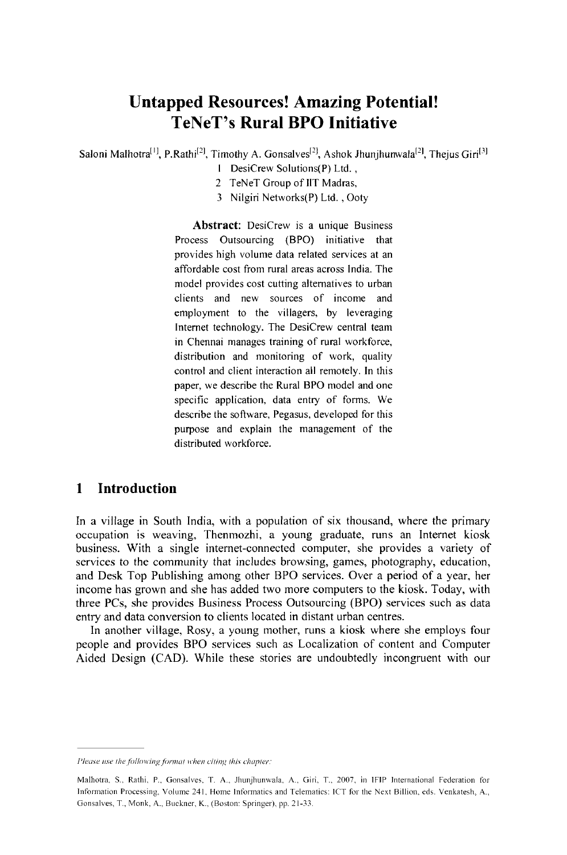# **Untapped Resources! Amazing Potential! TeNeT's Rural BPO Initiative**

Saloni Malhotra $^{[1]}$ , P.Rathi $^{[2]}$ , Timothy A. Gonsalves $^{[2]}$ , Ashok Jhunjhunwala $^{[2]}$ , Thejus Giri $^{[3]}$ 

- 1 DesiCrew Solutions(P) Ltd.,
- 2 TeNeT Group of IIT Madras,
- 3 Nilgiri Networks(P) Ltd., Ooty

**Abstract:** DesiCrew is a unique Business Process Outsourcing (BPO) initiative that provides high volume data related services at an affordable cost from rural areas across India. The model provides cost cutting alternatives to urban clients and new sources of income and employment to the villagers, by leveraging Internet technology. The DesiCrew central team in Chennai manages training of rural workforce, distribution and monitoring of work, quality control and client interaction all remotely. In this paper, we describe the Rural BPO model and one specific application, data entry of forms. We describe the software, Pegasus, developed for this purpose and explain the management of the distributed workforce.

# **1 Introduction**

In a village in South India, with a population of six thousand, where the primary occupation is weaving, Thenmozhi, a young graduate, runs an Internet kiosk business. With a single internet-connected computer, she provides a variety of services to the community that includes browsing, games, photography, education, and Desk Top Publishing among other BPO services. Over a period of a year, her income has grown and she has added two more computers to the kiosk. Today, with three PCs, she provides Business Process Outsourcing (BPO) services such as data entry and data conversion to clients located in distant urban centres.

In another village, Rosy, a young mother, runs a kiosk where she employs four people and provides BPO services such as Localization of content and Computer Aided Design (CAD). While these stories are undoubtedly incongruent with our

*Please use the following format when citing this chapter:* 

Malhotra, S., Rathi, P., Gonsalves, T. A., Jhunjhimwala, A., Giri, T., 2007, in IFIP International Federation for Information Processing, Volume 241, Home Informatics and Telematics: ICT for the Next Billion, eds. Venkatesh, A., Gonsalves, T., Monk, A., Buckner, K., (Boston: Springer), pp. 21-33.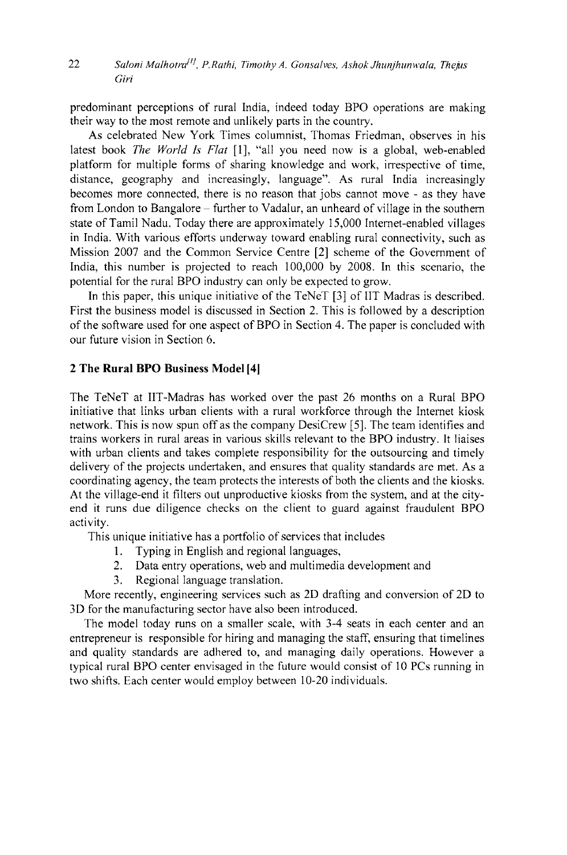predominant perceptions of rural India, indeed today BPO operations are making their way to the most remote and unlikely parts in the country.

As celebrated New York Times columnist, Thomas Friedman, observes in his latest book *The World Is Flat* [1], "all you need now is a global, web-enabled platform for multiple forms of sharing knowledge and work, irrespective of time, distance, geography and increasingly, language". As rural India increasingly becomes more connected, there is no reason that jobs cannot move - as they have from London to Bangalore – further to Vadalur, an unheard of village in the southern state of Tamil Nadu. Today there are approximately 15,000 Internet-enabled villages in India. With various efforts underway toward enabling rural connectivity, such as Mission 2007 and the Common Service Centre [2] scheme of the Government of India, this number is projected to reach 100,000 by 2008. In this scenario, the potential for the rural BPO industry can only be expected to grow.

In this paper, this unique initiative of the TeNeT [3] of IIT Madras is described. First the business model is discussed in Section 2. This is followed by a description of the software used for one aspect of BPO in Section 4. The paper is concluded with our future vision in Section 6.

### **2 The Rural BPO Business Model [4]**

The TeNeT at IIT-Madras has worked over the past 26 months on a Rural BPO initiative that links urban clients with a rural workforce through the Internet kiosk network. This is now spun off as the company DesiCrew [5]. The team identifies and trains workers in rural areas in various skills relevant to the BPO industry. It liaises with urban clients and takes complete responsibility for the outsourcing and timely delivery of the projects undertaken, and ensures that quality standards are met. As a coordinating agency, the team protects the interests of both the clients and the kiosks. At the village-end it filters out unproductive kiosks from the system, and at the cityend it runs due diligence checks on the client to guard against fraudulent BPO activity.

This unique initiative has a portfolio of services that includes

- 1. Typing in English and regional languages,
- 2. Data entry operations, web and multimedia development and
- 3. Regional language translation.

More recently, engineering services such as 2D drafting and conversion of 2D to 3D for the manufacturing sector have also been introduced.

The model today runs on a smaller scale, with 3-4 seats in each center and an entrepreneur is responsible for hiring and managing the staff, ensuring that timelines and quality standards are adhered to, and managing daily operations. However a typical rural BPO center envisaged in the future would consist of 10 PCs running in two shifts. Each center would employ between 10-20 individuals.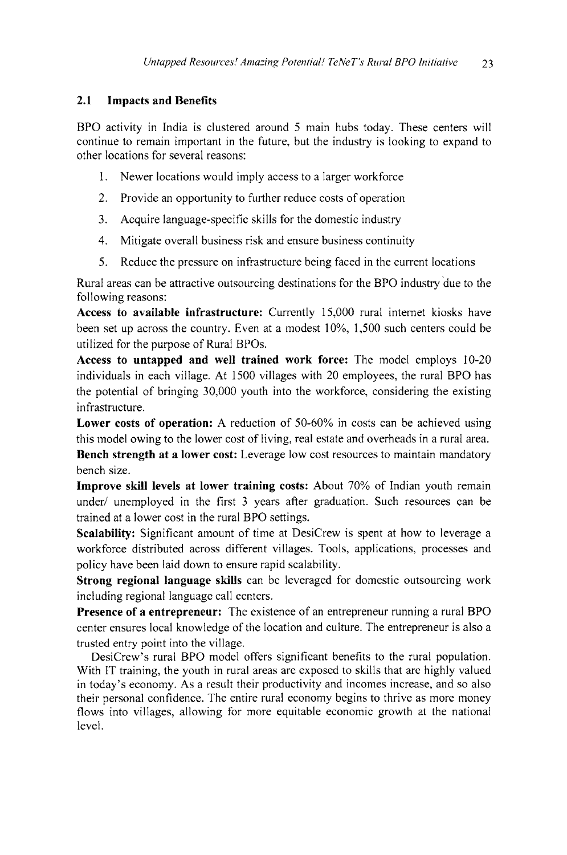# **2.1 Impacts and Benefits**

BPO activity in India is clustered around 5 main hubs today. These centers will continue to remain important in the future, but the industry is looking to expand to other locations for several reasons:

- 1. Newer locations would imply access to a larger workforce
- 2. Provide an opportunity to further reduce costs of operation
- 3. Acquire language-specific skills for the domestic industry
- 4. Mitigate overall business risk and ensure business continuity
- 5. Reduce the pressure on infrastructure being faced in the current locations

Rural areas can be attractive outsourcing destinations for the BPO industry due to the following reasons:

**Access to available infrastructure:** Currently 15,000 rural internet kiosks have been set up across the country. Even at a modest 10%, 1,500 such centers could be utilized for the purpose of Rural BPOs.

**Access to untapped and well trained work force:** The model employs 10-20 individuals in each village. At 1500 villages with 20 employees, the rural BPO has the potential of bringing 30,000 youth into the workforce, considering the existing infrastructure.

**Lower costs of operation:** A reduction of 50-60% in costs can be achieved using this model owing to the lower cost of living, real estate and overheads in a rural area.

**Bench strength at a lower cost:** Leverage low cost resources to maintain mandatory bench size.

**Improve skill levels at lower training costs:** About 70% of Indian youth remain under/ unemployed in the first 3 years after graduation. Such resources can be trained at a lower cost in the rural BPO settings.

**Scalability:** Significant amount of time at DesiCrew is spent at how to leverage a workforce distributed across different villages. Tools, applications, processes and policy have been laid down to ensure rapid scalability.

**Strong regional language skills** can be leveraged for domestic outsourcing work including regional language call centers.

**Presence of a entrepreneur:** The existence of an entrepreneur running a rural BPO center ensures local knowledge of the location and culture. The entrepreneur is also a trusted entry point into the village.

DesiCrew's rural BPO model offers significant benefits to the rural population. With IT training, the youth in rural areas are exposed to skills that are highly valued in today's economy. As a result their productivity and incomes increase, and so also their personal confidence. The entire rural economy begins to thrive as more money flows into villages, allowing for more equitable economic growth at the national level.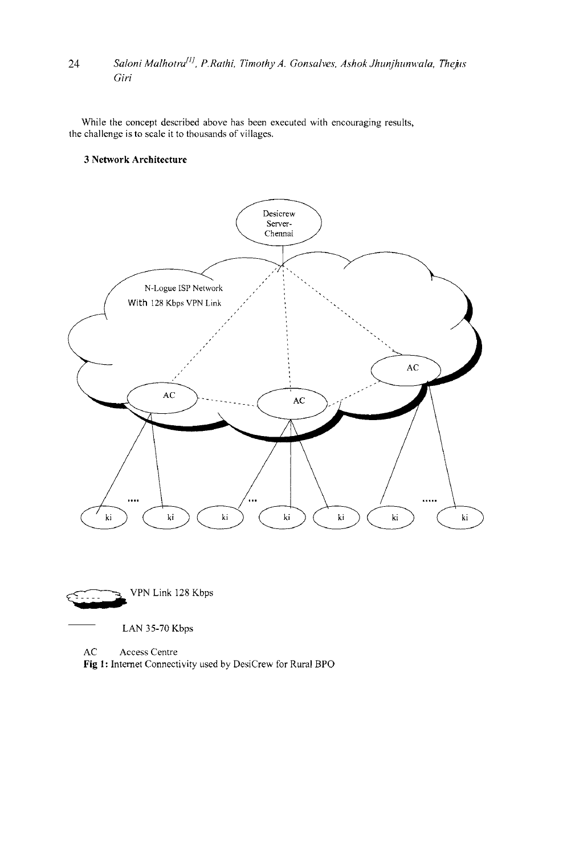# 24 *Saloni Malhotra[lj', P.Rathi, Timothy A. Gonsahes, Ashok Jhunjhunwala, Theps Gin*

While the concept described above has been executed with encouraging results, the challenge is to scale it to thousands of villages.

### **3 Network Architecture**





LAN 35-70 Kbps

AC Access Centre

**Fig** 1: Internet Connectivity used by DesiCrew for Rural BPO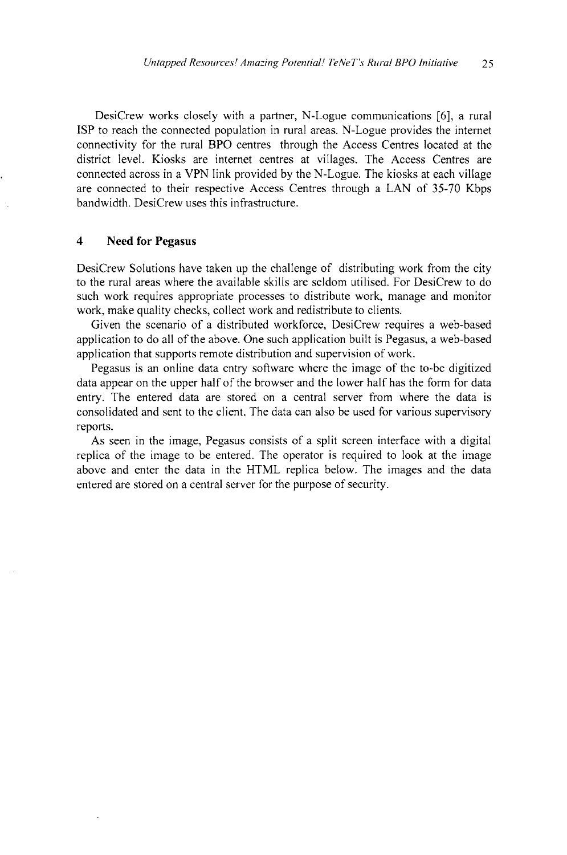DesiCrew works closely with a partner, N-Logue communications [6], a rural ISP to reach the connected population in rural areas. N-Logue provides the internet connectivity for the rural BPO centres through the Access Centres located at the district level. Kiosks are internet centres at villages. The Access Centres are connected across in a VPN link provided by the N-Logue. The kiosks at each village are connected to their respective Access Centres through a LAN of 35-70 Kbps bandwidth. DesiCrew uses this infrastructure.

### **4 Need for Pegasus**

DesiCrew Solutions have taken up the challenge of distributing work from the city to the rural areas where the available skills are seldom utilised. For DesiCrew to do such work requires appropriate processes to distribute work, manage and monitor work, make quality checks, collect work and redistribute to clients.

Given the scenario of a distributed workforce, DesiCrew requires a web-based application to do all of the above. One such application built is Pegasus, a web-based application that supports remote distribution and supervision of work.

Pegasus is an online data entry software where the image of the to-be digitized data appear on the upper half of the browser and the lower half has the form for data entry. The entered data are stored on a central server from where the data is consolidated and sent to the client. The data can also be used for various supervisory reports.

As seen in the image, Pegasus consists of a split screen interface with a digital replica of the image to be entered. The operator is required to look at the image above and enter the data in the HTML replica below. The images and the data entered are stored on a central server for the purpose of security.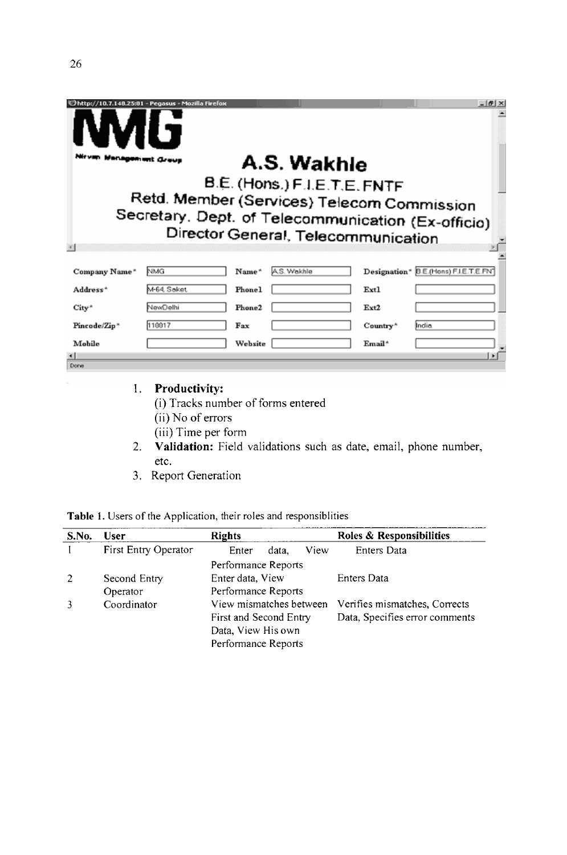|                 | Dhttp://10.7.148.25:81 - Pegasus - Mozilla Firefox |               |                                                                                                                                                                         |          | $-18$ $\times$                       |
|-----------------|----------------------------------------------------|---------------|-------------------------------------------------------------------------------------------------------------------------------------------------------------------------|----------|--------------------------------------|
|                 | fanagement Greus                                   |               | A.S. Wakhle                                                                                                                                                             |          |                                      |
| $\vert 3 \vert$ |                                                    |               | B.E. (Hons.) F.I.E.T.E. FNTF<br>Retd. Member (Services) Telecom Commission<br>Secretary, Dept. of Telecommunication (Ex-officio)<br>Director General, Telecommunication |          |                                      |
| Company Name*   | <b>NMG</b>                                         | Name*         | A.S. Wakhle                                                                                                                                                             |          | Designation* B.E.(Hons) F.I.E.T.E.FN |
| Address*        | M-64 Saket                                         | <b>Phone1</b> |                                                                                                                                                                         | Ext1     |                                      |
| City*           | NewDelhi                                           | Phone2        |                                                                                                                                                                         | Ext2     |                                      |
| Pincode/Zip*    | 110017                                             | Fax           |                                                                                                                                                                         | Country* | India                                |
| Mobile          |                                                    | Website       |                                                                                                                                                                         | Email*   |                                      |
| Done            |                                                    |               |                                                                                                                                                                         |          |                                      |

**Productivity:** 

(i) Tracks number of forms entered (ii) No of errors (iii) Time per form

- **Validation:** Field validations such as date, email, phone number, etc.
- 3. Report Generation

| Table 1. Users of the Application, their roles and responsiblities |  |  |
|--------------------------------------------------------------------|--|--|
|--------------------------------------------------------------------|--|--|

| S.No. | User                 | <b>Rights</b>           | Roles & Responsibilities       |
|-------|----------------------|-------------------------|--------------------------------|
|       | First Entry Operator | View<br>Enter<br>data.  | Enters Data                    |
|       |                      | Performance Reports     |                                |
| 2     | Second Entry         | Enter data, View        | Enters Data                    |
|       | Operator             | Performance Reports     |                                |
| 3     | Coordinator          | View mismatches between | Verifies mismatches, Corrects  |
|       |                      | First and Second Entry  | Data, Specifies error comments |
|       |                      | Data, View His own      |                                |
|       |                      | Performance Reports     |                                |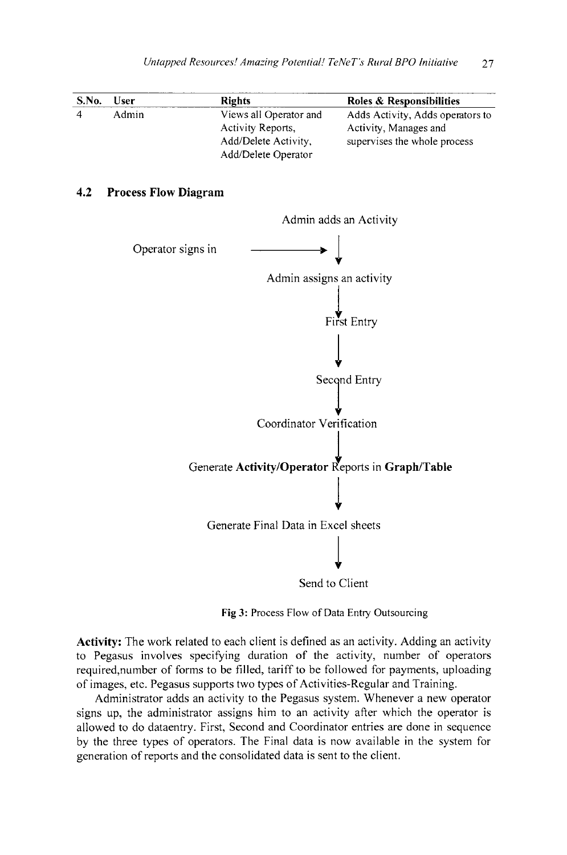| S.No. | User  | <b>Rights</b>                                                                              | Roles & Responsibilities                                                                  |
|-------|-------|--------------------------------------------------------------------------------------------|-------------------------------------------------------------------------------------------|
| 4     | Admin | Views all Operator and<br>Activity Reports.<br>Add/Delete Activity,<br>Add/Delete Operator | Adds Activity, Adds operators to<br>Activity, Manages and<br>supervises the whole process |

#### **4.2 Process Flow Diagram**



**Fig** 3: Process Flow of Data Entry Outsourcing

**Activity:** The work related to each client is defined as an activity. Adding an activity to Pegasus involves specifying duration of the activity, number of operators required,number of forms to be filled, tariff to be followed for payments, uploading of images, etc. Pegasus supports two types of Activities-Regular and Training.

Administrator adds an activity to the Pegasus system. Whenever a new operator signs up, the administrator assigns him to an activity after which the operator is allowed to do dataentry. First, Second and Coordinator entries are done in sequence by the three types of operators. The Final data is now available in the system for generation of reports and the consolidated data is sent to the client.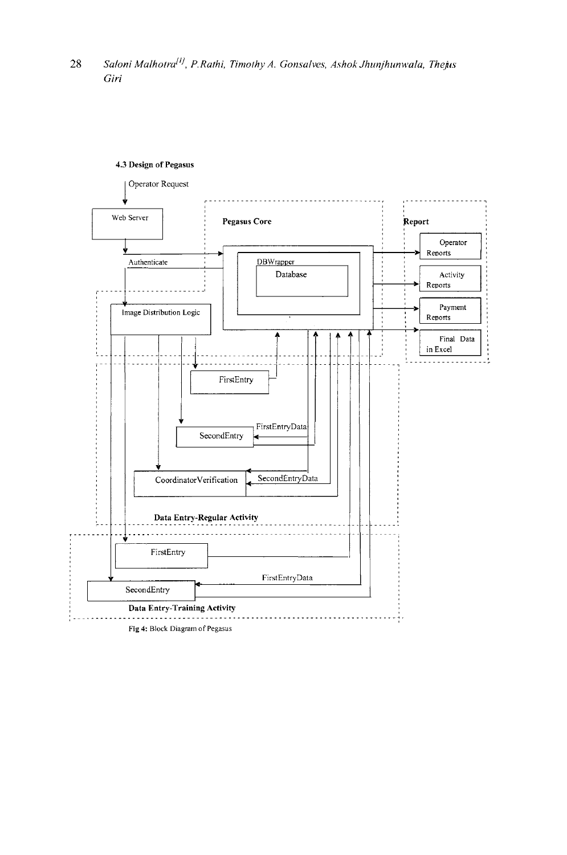28 *Saloni Malhotra[1] , P.Rathi, Timothy A. Gonsahes, Ashok Jhunjhunwala, Theps Gin* 



4.3 Design of Pegasus

Fig 4: Block Diagram of Pegasus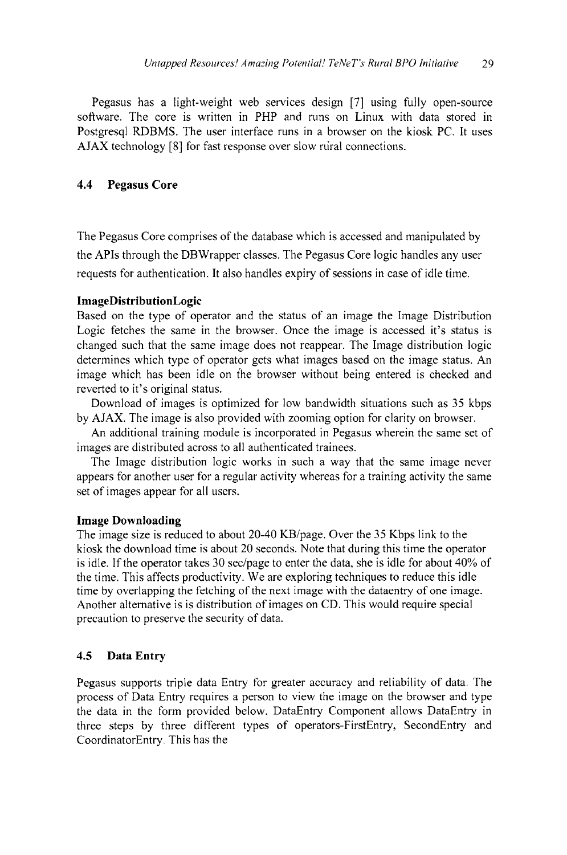Pegasus has a light-weight web services design [7] using fully open-source software. The core is written in PHP and runs on Linux with data stored in Postgresql RDBMS. The user interface runs in a browser on the kiosk PC. It uses AJAX technology [8] for fast response over slow rural connections.

### **4.4 Pegasus Core**

The Pegasus Core comprises of the database which is accessed and manipulated by the APIs through the DBWrapper classes. The Pegasus Core logic handles any user requests for authentication. It also handles expiry of sessions in case of idle time.

#### **ImageDistributionLogic**

Based on the type of operator and the status of an image the Image Distribution Logic fetches the same in the browser. Once the image is accessed it's status is changed such that the same image does not reappear. The Image distribution logic determines which type of operator gets what images based on the image status. An image which has been idle on the browser without being entered is checked and reverted to it's original status.

Download of images is optimized for low bandwidth situations such as 35 kbps by AJAX. The image is also provided with zooming option for clarity on browser.

An additional training module is incorporated in Pegasus wherein the same set of images are distributed across to all authenticated trainees.

The Image distribution logic works in such a way that the same image never appears for another user for a regular activity whereas for a training activity the same set of images appear for all users.

#### **Image Downloading**

The image size is reduced to about 20-40 KB/page. Over the 35 Kbps link to the kiosk the download time is about 20 seconds. Note that during this time the operator is idle. If the operator takes 30 sec/page to enter the data, she is idle for about 40% of the time. This affects productivity. We are exploring techniques to reduce this idle time by overlapping the fetching of the next image with the dataentry of one image. Another alternative is is distribution of images on CD. This would require special precaution to preserve the security of data.

### **4.5 Data Entry**

Pegasus supports triple data Entry for greater accuracy and reliability of data. The process of Data Entry requires a person to view the image on the browser and type the data in the form provided below. DataEntry Component allows DataEntry in three steps by three different types of operators-FirstEntry, SecondEntry and CoordinatorEntry. This has the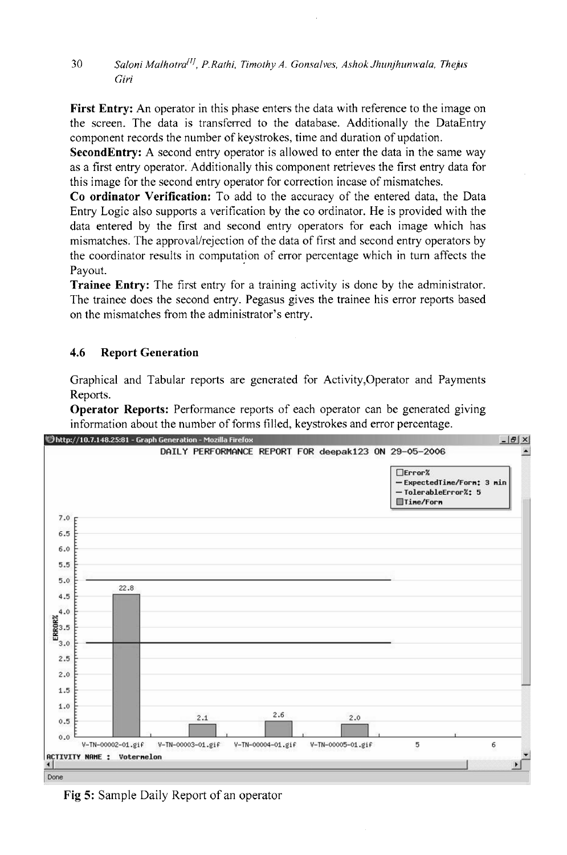30 *Saloni Malhotra[1], P.Rathi, Timothy A. Gonsahes, AshokJhunjhunwala, Theps Giri* 

**First Entry:** An operator in this phase enters the data with reference to the image on the screen. The data is transferred to the database. Additionally the DataEntry component records the number of keystrokes, time and duration of updation.

**SecondEntry:** A second entry operator is allowed to enter the data in the same way as a first entry operator. Additionally this component retrieves the first entry data for this image for the second entry operator for correction incase of mismatches.

**Co ordinator Verification:** To add to the accuracy of the entered data, the Data Entry Logic also supports a verification by the co ordinator. He is provided with the data entered by the first and second entry operators for each image which has mismatches. The approval/rejection of the data of first and second entry operators by the coordinator results in computation of error percentage which in turn affects the Payout.

**Trainee Entry:** The first entry for a training activity is done by the administrator. The trainee does the second entry. Pegasus gives the trainee his error reports based on the mismatches from the administrator's entry.

# **4.6 Report Generation**

Graphical and Tabular reports are generated for Activity,Operator and Payments Reports.

**Operator Reports:** Performance reports of each operator can be generated giving information about the number of forms filled, keystrokes and error percentage.



**Fig 5:** Sample Daily Report of an operator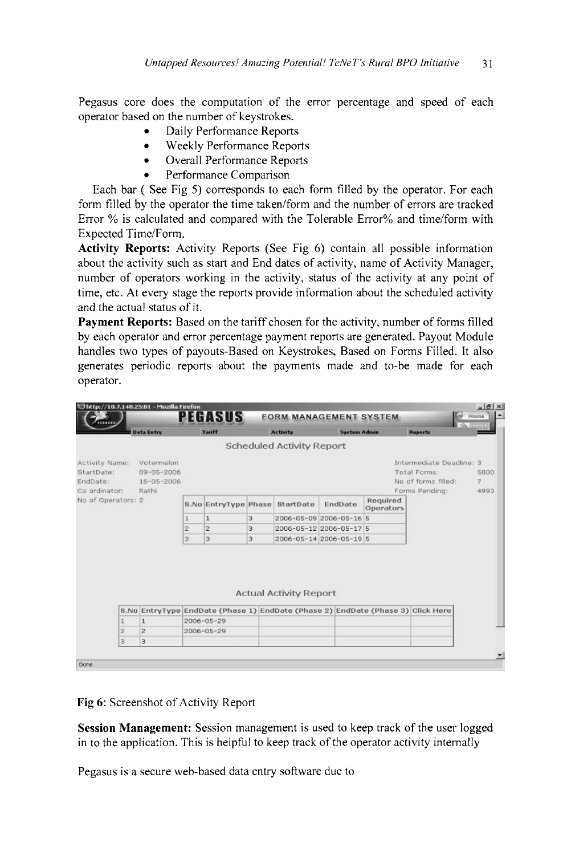Pegasus core does the computation of the error percentage and speed of each operator based on the number of keystrokes.

- Daily Performance Reports
- Weekly Performance Reports
- Overall Performance Reports
- Performance Comparison

Each bar ( See Fig 5) corresponds to each form filled by the operator. For each form filled by the operator the time taken/form and the number of errors are tracked Error % is calculated and compared with the Tolerable Error% and time/form with Expected Time/Form.

**Activity Reports:** Activity Reports (See Fig 6) contain all possible information about the activity such as start and End dates of activity, name of Activity Manager, number of operators working in the activity, status of the activity at any point of time, etc. At every stage the reports provide information about the scheduled activity and the actual status of it.

**Payment Reports:** Based on the tariff chosen for the activity, number of forms filled by each operator and error percentage payment reports are generated. Payout Module handles two types of payouts-Based on Keystrokes, Based on Forms Filled. It also generates periodic reports about the payments made and to-be made for each operator.

|                                                                                 |  | <b>Data Entry</b>                               |              | Tariff         |   | <b>Activity</b>                                                                 | <b>System Admin</b> |                       | <b>Reports</b>                                                                    | <b>Ga Torput</b>                         |
|---------------------------------------------------------------------------------|--|-------------------------------------------------|--------------|----------------|---|---------------------------------------------------------------------------------|---------------------|-----------------------|-----------------------------------------------------------------------------------|------------------------------------------|
|                                                                                 |  |                                                 |              |                |   | <b>Scheduled Activity Report</b>                                                |                     |                       |                                                                                   |                                          |
| Activity Name:<br>StartDate:<br>EndDate:<br>Co ordinator:<br>No of Operators: 2 |  | Votermelon<br>09-05-2006<br>16-05-2006<br>Rathi |              |                |   |                                                                                 |                     |                       | Intermediate Deadline: 3<br>Total Forms:<br>No of forms filled:<br>Forms Pending: | 5000<br>$\overline{\mathcal{F}}$<br>4993 |
|                                                                                 |  |                                                 |              |                |   | S.No EntryType Phase StartDate                                                  | EndDate             | Required<br>Operators |                                                                                   |                                          |
|                                                                                 |  |                                                 | $\mathbf{1}$ | $\mathbf{1}$   | 3 | 2006-05-09 2006-05-16 5                                                         |                     |                       |                                                                                   |                                          |
|                                                                                 |  |                                                 | 2            | $\overline{2}$ | 3 | 2006-05-12 2006-05-17 5                                                         |                     |                       |                                                                                   |                                          |
|                                                                                 |  |                                                 | 3            | 3              | 3 | 2006-05-14 2006-05-19 5                                                         |                     |                       |                                                                                   |                                          |
|                                                                                 |  |                                                 |              |                |   | <b>Actual Activity Report</b>                                                   |                     |                       |                                                                                   |                                          |
|                                                                                 |  |                                                 |              |                |   | S.No EntryType EndDate (Phase 1) EndDate (Phase 2) EndDate (Phase 3) Click Here |                     |                       |                                                                                   |                                          |
|                                                                                 |  | $\mathbf{1}$                                    |              | 2006-05-29     |   |                                                                                 |                     |                       |                                                                                   |                                          |
| $\mathbf{1}$                                                                    |  |                                                 |              | 2006-05-29     |   |                                                                                 |                     |                       |                                                                                   |                                          |
| $\overline{2}$                                                                  |  | $\overline{2}$                                  |              |                |   |                                                                                 |                     |                       |                                                                                   |                                          |

**Fig 6**: Screenshot of Activity Report

**Session Management:** Session management is used to keep track of the user logged in to the application. This is helpful to keep track of the operator activity internally

Pegasus is a secure web-based data entry software due to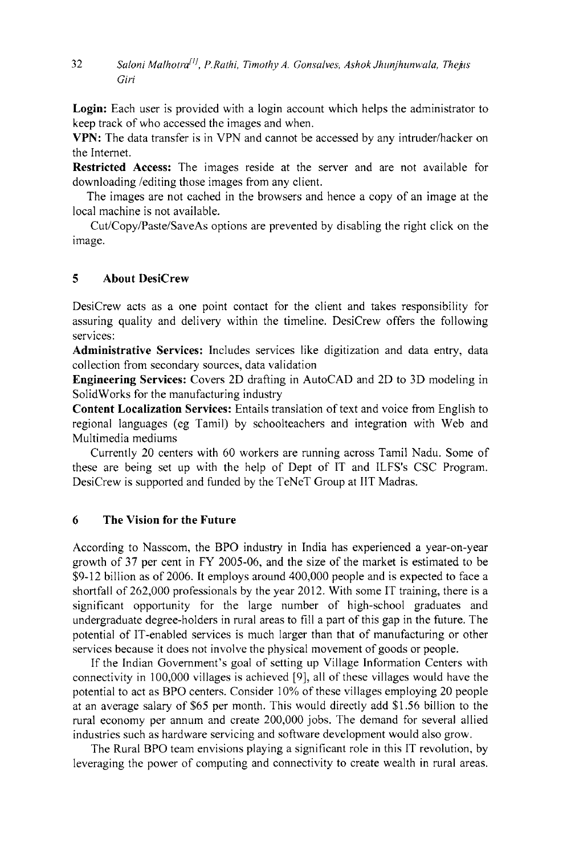# 32 *Saloni Malhotra[l] , P.Rathi, Timothy A. Gonsalves, AshokJhunjhunwala, Theps Giri*

**Login:** Each user is provided with a login account which helps the administrator to keep track of who accessed the images and when.

**VPN:** The data transfer is in VPN and cannot be accessed by any intruder/hacker on the Internet.

**Restricted Access:** The images reside at the server and are not available for downloading /editing those images from any client.

The images are not cached in the browsers and hence a copy of an image at the local machine is not available.

Cut/Copy/Paste/SaveAs options are prevented by disabling the right click on the image.

## **5 About DesiCrew**

DesiCrew acts as a one point contact for the client and takes responsibility for assuring quality and delivery within the timeline. DesiCrew offers the following services:

**Administrative Services:** Includes services like digitization and data entry, data collection from secondary sources, data validation

**Engineering Services:** Covers 2D drafting in AutoCAD and 2D to 3D modeling in SolidWorks for the manufacturing industry

**Content Localization Services:** Entails translation of text and voice from English to regional languages (eg Tamil) by schoolteachers and integration with Web and Multimedia mediums

Currently 20 centers with 60 workers are running across Tamil Nadu. Some of these are being set up with the help of Dept of IT and ILFS's CSC Program. DesiCrew is supported and funded by the TeNeT Group at IIT Madras.

### **6 The Vision for the Future**

According to Nasscom, the BPO industry in India has experienced a year-on-year growth of 37 per cent in FY 2005-06, and the size of the market is estimated to be \$9-12 billion as of 2006. It employs around 400,000 people and is expected to face a shortfall of 262,000 professionals by the year 2012. With some IT training, there is a significant opportunity for the large number of high-school graduates and undergraduate degree-holders in rural areas to fill a part of this gap in the future. The potential of IT-enabled services is much larger than that of manufacturing or other services because it does not involve the physical movement of goods or people.

If the Indian Government's goal of setting up Village Information Centers with connectivity in 100,000 villages is achieved [9], all of these villages would have the potential to act as BPO centers. Consider 10% of these villages employing 20 people at an average salary of \$65 per month. This would directly add \$1.56 billion to the rural economy per annum and create 200,000 jobs. The demand for several allied industries such as hardware servicing and software development would also grow.

The Rural BPO team envisions playing a significant role in this IT revolution, by leveraging the power of computing and connectivity to create wealth in rural areas.